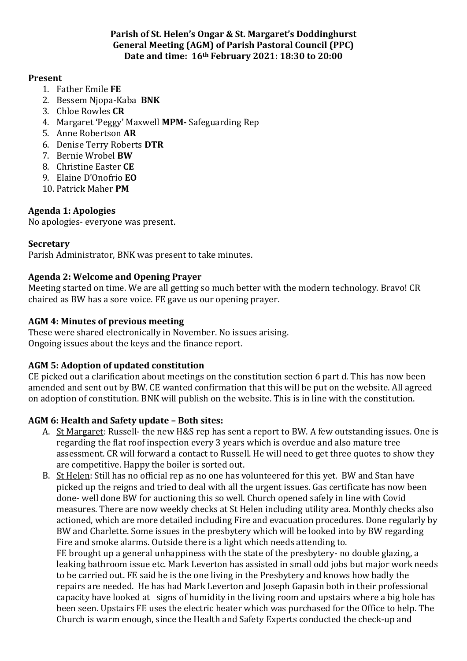#### **Parish of St. Helen's Ongar & St. Margaret's Doddinghurst General Meeting (AGM) of Parish Pastoral Council (PPC) Date and time: 16th February 2021: 18:30 to 20:00**

#### **Present**

- 1. Father Emile **FE**
- 2. Bessem Njopa-Kaba **BNK**
- 3. Chloe Rowles **CR**
- 4. Margaret 'Peggy' Maxwell **MPM-** Safeguarding Rep
- 5. Anne Robertson **AR**
- 6. Denise Terry Roberts **DTR**
- 7. Bernie Wrobel **BW**
- 8. Christine Easter **CE**
- 9. Elaine D'Onofrio **EO**
- 10. Patrick Maher **PM**

# **Agenda 1: Apologies**

No apologies- everyone was present.

## **Secretary**

Parish Administrator, BNK was present to take minutes.

## **Agenda 2: Welcome and Opening Prayer**

Meeting started on time. We are all getting so much better with the modern technology. Bravo! CR chaired as BW has a sore voice. FE gave us our opening prayer.

## **AGM 4: Minutes of previous meeting**

These were shared electronically in November. No issues arising. Ongoing issues about the keys and the finance report.

# **AGM 5: Adoption of updated constitution**

CE picked out a clarification about meetings on the constitution section 6 part d. This has now been amended and sent out by BW. CE wanted confirmation that this will be put on the website. All agreed on adoption of constitution. BNK will publish on the website. This is in line with the constitution.

## **AGM 6: Health and Safety update – Both sites:**

- A. St Margaret: Russell- the new H&S rep has sent a report to BW. A few outstanding issues. One is regarding the flat roof inspection every 3 years which is overdue and also mature tree assessment. CR will forward a contact to Russell. He will need to get three quotes to show they are competitive. Happy the boiler is sorted out.
- B. St Helen: Still has no official rep as no one has volunteered for this yet. BW and Stan have picked up the reigns and tried to deal with all the urgent issues. Gas certificate has now been done- well done BW for auctioning this so well. Church opened safely in line with Covid measures. There are now weekly checks at St Helen including utility area. Monthly checks also actioned, which are more detailed including Fire and evacuation procedures. Done regularly by BW and Charlette. Some issues in the presbytery which will be looked into by BW regarding Fire and smoke alarms. Outside there is a light which needs attending to. FE brought up a general unhappiness with the state of the presbytery- no double glazing, a

leaking bathroom issue etc. Mark Leverton has assisted in small odd jobs but major work needs to be carried out. FE said he is the one living in the Presbytery and knows how badly the repairs are needed. He has had Mark Leverton and Joseph Gapasin both in their professional capacity have looked at signs of humidity in the living room and upstairs where a big hole has been seen. Upstairs FE uses the electric heater which was purchased for the Office to help. The Church is warm enough, since the Health and Safety Experts conducted the check-up and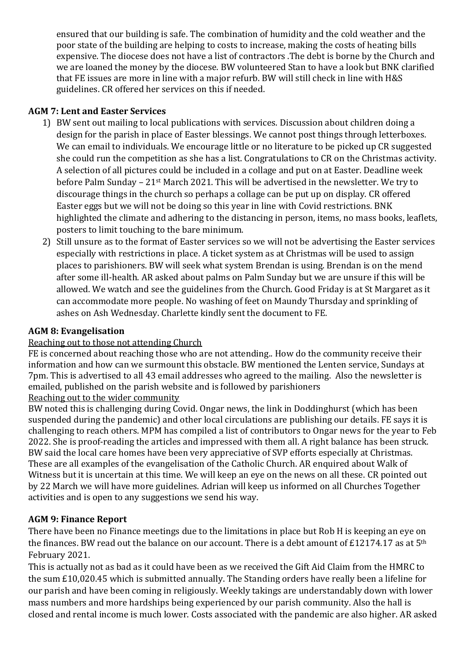ensured that our building is safe. The combination of humidity and the cold weather and the poor state of the building are helping to costs to increase, making the costs of heating bills expensive. The diocese does not have a list of contractors .The debt is borne by the Church and we are loaned the money by the diocese. BW volunteered Stan to have a look but BNK clarified that FE issues are more in line with a major refurb. BW will still check in line with H&S guidelines. CR offered her services on this if needed.

## **AGM 7: Lent and Easter Services**

- 1) BW sent out mailing to local publications with services. Discussion about children doing a design for the parish in place of Easter blessings. We cannot post things through letterboxes. We can email to individuals. We encourage little or no literature to be picked up CR suggested she could run the competition as she has a list. Congratulations to CR on the Christmas activity. A selection of all pictures could be included in a collage and put on at Easter. Deadline week before Palm Sunday – 21st March 2021. This will be advertised in the newsletter. We try to discourage things in the church so perhaps a collage can be put up on display. CR offered Easter eggs but we will not be doing so this year in line with Covid restrictions. BNK highlighted the climate and adhering to the distancing in person, items, no mass books, leaflets, posters to limit touching to the bare minimum.
- 2) Still unsure as to the format of Easter services so we will not be advertising the Easter services especially with restrictions in place. A ticket system as at Christmas will be used to assign places to parishioners. BW will seek what system Brendan is using. Brendan is on the mend after some ill-health. AR asked about palms on Palm Sunday but we are unsure if this will be allowed. We watch and see the guidelines from the Church. Good Friday is at St Margaret as it can accommodate more people. No washing of feet on Maundy Thursday and sprinkling of ashes on Ash Wednesday. Charlette kindly sent the document to FE.

## **AGM 8: Evangelisation**

## Reaching out to those not attending Church

FE is concerned about reaching those who are not attending.. How do the community receive their information and how can we surmount this obstacle. BW mentioned the Lenten service, Sundays at 7pm. This is advertised to all 43 email addresses who agreed to the mailing. Also the newsletter is emailed, published on the parish website and is followed by parishioners Reaching out to the wider community

BW noted this is challenging during Covid. Ongar news, the link in Doddinghurst (which has been suspended during the pandemic) and other local circulations are publishing our details. FE says it is challenging to reach others. MPM has compiled a list of contributors to Ongar news for the year to Feb 2022. She is proof-reading the articles and impressed with them all. A right balance has been struck. BW said the local care homes have been very appreciative of SVP efforts especially at Christmas. These are all examples of the evangelisation of the Catholic Church. AR enquired about Walk of Witness but it is uncertain at this time. We will keep an eye on the news on all these. CR pointed out by 22 March we will have more guidelines. Adrian will keep us informed on all Churches Together activities and is open to any suggestions we send his way.

# **AGM 9: Finance Report**

There have been no Finance meetings due to the limitations in place but Rob H is keeping an eye on the finances. BW read out the balance on our account. There is a debt amount of £12174.17 as at 5th February 2021.

This is actually not as bad as it could have been as we received the Gift Aid Claim from the HMRC to the sum £10,020.45 which is submitted annually. The Standing orders have really been a lifeline for our parish and have been coming in religiously. Weekly takings are understandably down with lower mass numbers and more hardships being experienced by our parish community. Also the hall is closed and rental income is much lower. Costs associated with the pandemic are also higher. AR asked